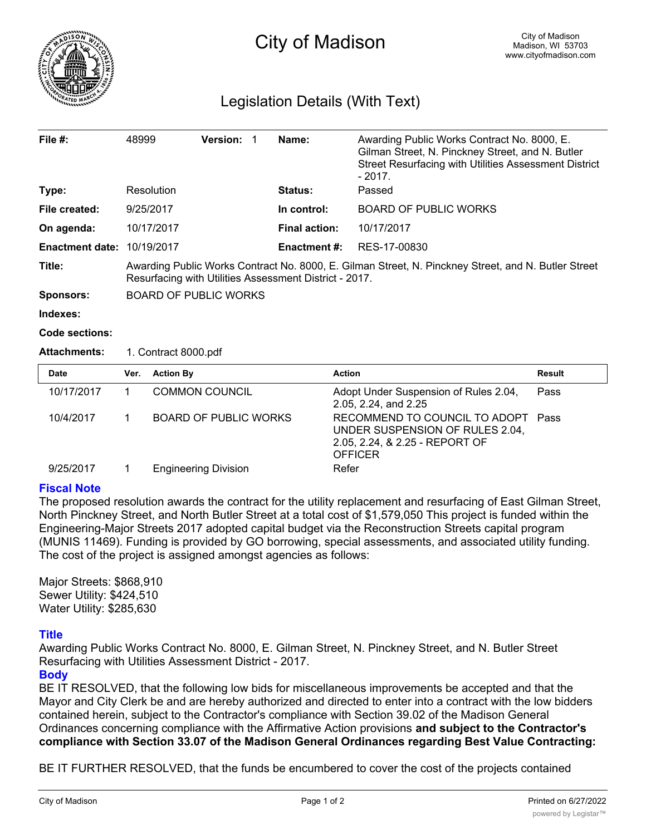

# Legislation Details (With Text)

| File $#$ :             | 48999                        | <b>Version:</b>                                                                                                                                               |  | Name:                | Awarding Public Works Contract No. 8000, E.<br>Gilman Street, N. Pinckney Street, and N. Butler<br>Street Resurfacing with Utilities Assessment District<br>$-2017.$ |  |
|------------------------|------------------------------|---------------------------------------------------------------------------------------------------------------------------------------------------------------|--|----------------------|----------------------------------------------------------------------------------------------------------------------------------------------------------------------|--|
| Type:                  | Resolution                   |                                                                                                                                                               |  | <b>Status:</b>       | Passed                                                                                                                                                               |  |
| File created:          | 9/25/2017                    |                                                                                                                                                               |  | In control:          | <b>BOARD OF PUBLIC WORKS</b>                                                                                                                                         |  |
| On agenda:             | 10/17/2017                   |                                                                                                                                                               |  | <b>Final action:</b> | 10/17/2017                                                                                                                                                           |  |
| <b>Enactment date:</b> | 10/19/2017                   |                                                                                                                                                               |  | <b>Enactment #:</b>  | RES-17-00830                                                                                                                                                         |  |
| Title:                 |                              | Awarding Public Works Contract No. 8000, E. Gilman Street, N. Pinckney Street, and N. Butler Street<br>Resurfacing with Utilities Assessment District - 2017. |  |                      |                                                                                                                                                                      |  |
| <b>Sponsors:</b>       | <b>BOARD OF PUBLIC WORKS</b> |                                                                                                                                                               |  |                      |                                                                                                                                                                      |  |
| Indexes:               |                              |                                                                                                                                                               |  |                      |                                                                                                                                                                      |  |

#### **Code sections:**

### **Attachments:** 1. Contract 8000.pdf

| <b>Date</b> | Ver. | <b>Action By</b>             | <b>Action</b>                                                                                                             | Result |
|-------------|------|------------------------------|---------------------------------------------------------------------------------------------------------------------------|--------|
| 10/17/2017  |      | <b>COMMON COUNCIL</b>        | Adopt Under Suspension of Rules 2.04,<br>2.05, 2.24, and 2.25                                                             | Pass   |
| 10/4/2017   |      | <b>BOARD OF PUBLIC WORKS</b> | RECOMMEND TO COUNCIL TO ADOPT Pass<br>UNDER SUSPENSION OF RULES 2.04,<br>2.05, 2.24, & 2.25 - REPORT OF<br><b>OFFICER</b> |        |
| 9/25/2017   |      | <b>Engineering Division</b>  | Refer                                                                                                                     |        |

### **Fiscal Note**

The proposed resolution awards the contract for the utility replacement and resurfacing of East Gilman Street, North Pinckney Street, and North Butler Street at a total cost of \$1,579,050 This project is funded within the Engineering-Major Streets 2017 adopted capital budget via the Reconstruction Streets capital program (MUNIS 11469). Funding is provided by GO borrowing, special assessments, and associated utility funding. The cost of the project is assigned amongst agencies as follows:

Major Streets: \$868,910 Sewer Utility: \$424,510 Water Utility: \$285,630

## **Title**

Awarding Public Works Contract No. 8000, E. Gilman Street, N. Pinckney Street, and N. Butler Street Resurfacing with Utilities Assessment District - 2017.

## **Body**

BE IT RESOLVED, that the following low bids for miscellaneous improvements be accepted and that the Mayor and City Clerk be and are hereby authorized and directed to enter into a contract with the low bidders contained herein, subject to the Contractor's compliance with Section 39.02 of the Madison General Ordinances concerning compliance with the Affirmative Action provisions **and subject to the Contractor's compliance with Section 33.07 of the Madison General Ordinances regarding Best Value Contracting:**

BE IT FURTHER RESOLVED, that the funds be encumbered to cover the cost of the projects contained